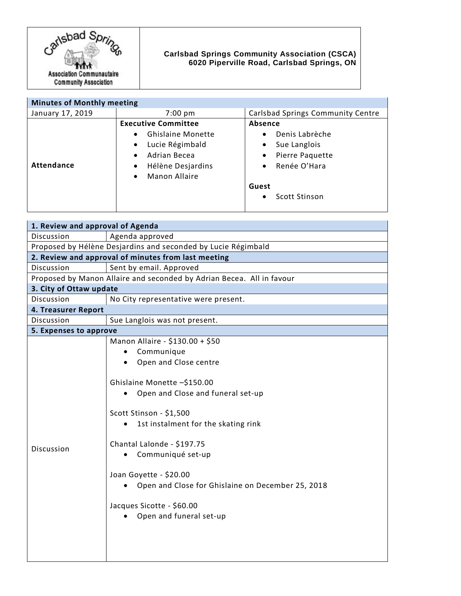

## **Carlsbad Springs Community Association (CSCA) 6020 Piperville Road, Carlsbad Springs, ON**

| <b>Minutes of Monthly meeting</b> |                                                                                                                                                                                                  |                                                                                                                                                                                |
|-----------------------------------|--------------------------------------------------------------------------------------------------------------------------------------------------------------------------------------------------|--------------------------------------------------------------------------------------------------------------------------------------------------------------------------------|
| January 17, 2019                  | $7:00 \text{ pm}$                                                                                                                                                                                | <b>Carlsbad Springs Community Centre</b>                                                                                                                                       |
| <b>Attendance</b>                 | <b>Executive Committee</b><br><b>Ghislaine Monette</b><br>$\bullet$<br>Lucie Régimbald<br>$\bullet$<br>Adrian Becea<br>$\bullet$<br>Hélène Desjardins<br>$\bullet$<br>Manon Allaire<br>$\bullet$ | <b>Absence</b><br>Denis Labrèche<br>$\bullet$<br>Sue Langlois<br>$\bullet$<br>Pierre Paquette<br>$\bullet$<br>Renée O'Hara<br>$\bullet$<br>Guest<br>Scott Stinson<br>$\bullet$ |

| 1. Review and approval of Agenda                                      |  |  |
|-----------------------------------------------------------------------|--|--|
| Agenda approved                                                       |  |  |
| Proposed by Hélène Desjardins and seconded by Lucie Régimbald         |  |  |
| 2. Review and approval of minutes from last meeting                   |  |  |
| Sent by email. Approved                                               |  |  |
| Proposed by Manon Allaire and seconded by Adrian Becea. All in favour |  |  |
| 3. City of Ottaw update                                               |  |  |
| No City representative were present.                                  |  |  |
| 4. Treasurer Report                                                   |  |  |
| Sue Langlois was not present.                                         |  |  |
| 5. Expenses to approve                                                |  |  |
| Manon Allaire - \$130.00 + \$50                                       |  |  |
| Communique                                                            |  |  |
| Open and Close centre                                                 |  |  |
|                                                                       |  |  |
| Ghislaine Monette -\$150.00                                           |  |  |
| Open and Close and funeral set-up<br>$\bullet$                        |  |  |
|                                                                       |  |  |
| Scott Stinson - \$1,500                                               |  |  |
| 1st instalment for the skating rink                                   |  |  |
|                                                                       |  |  |
| Chantal Lalonde - \$197.75                                            |  |  |
| Communiqué set-up                                                     |  |  |
|                                                                       |  |  |
| Joan Goyette - \$20.00                                                |  |  |
| Open and Close for Ghislaine on December 25, 2018                     |  |  |
| Jacques Sicotte - \$60.00                                             |  |  |
| Open and funeral set-up                                               |  |  |
|                                                                       |  |  |
|                                                                       |  |  |
|                                                                       |  |  |
|                                                                       |  |  |
|                                                                       |  |  |